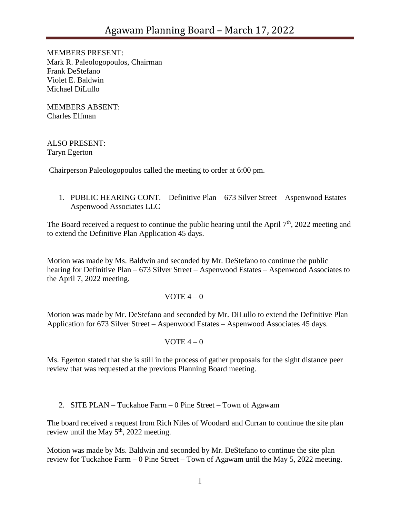MEMBERS PRESENT: Mark R. Paleologopoulos, Chairman Frank DeStefano Violet E. Baldwin Michael DiLullo

MEMBERS ABSENT: Charles Elfman

ALSO PRESENT: Taryn Egerton

Chairperson Paleologopoulos called the meeting to order at 6:00 pm.

1. PUBLIC HEARING CONT. – Definitive Plan – 673 Silver Street – Aspenwood Estates – Aspenwood Associates LLC

The Board received a request to continue the public hearing until the April  $7<sup>th</sup>$ , 2022 meeting and to extend the Definitive Plan Application 45 days.

Motion was made by Ms. Baldwin and seconded by Mr. DeStefano to continue the public hearing for Definitive Plan – 673 Silver Street – Aspenwood Estates – Aspenwood Associates to the April 7, 2022 meeting.

### VOTE  $4-0$

Motion was made by Mr. DeStefano and seconded by Mr. DiLullo to extend the Definitive Plan Application for 673 Silver Street – Aspenwood Estates – Aspenwood Associates 45 days.

VOTE  $4-0$ 

Ms. Egerton stated that she is still in the process of gather proposals for the sight distance peer review that was requested at the previous Planning Board meeting.

2. SITE PLAN – Tuckahoe Farm – 0 Pine Street – Town of Agawam

The board received a request from Rich Niles of Woodard and Curran to continue the site plan review until the May  $5<sup>th</sup>$ , 2022 meeting.

Motion was made by Ms. Baldwin and seconded by Mr. DeStefano to continue the site plan review for Tuckahoe Farm – 0 Pine Street – Town of Agawam until the May 5, 2022 meeting.